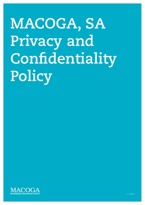# **MACOGA, SA Privacy and Confidentiality Policy**

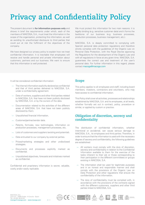## **Privacy and Confidentiality Policy**

The present document is **for information purposes only** and shows in brief the requirements under which, each of the members of MACOGA, S.A., must treat the information in the scope of the organisation, protecting this information, as well as avoiding its unauthorised disclosure to third parties that could put at risk the fulfilment of the objectives of the company.

We have designed our privacy policy to explain how we treat confidential information. It is inevitable that employees will receive and handle personal and private information about customers, partners and our business. We want to ensure that this information is well protected.

We must protect this information for two main reasons: it is legally binding (e.g. sensitive customer data) and it forms the backbone of our business (e.g. business processes, production processes, business management, etc.).

MACOGA, S.A. is deeply committed to complying with Spanish personal data protection regulations and therefore strictly complies with the guidelines of the Organic Law on Personal Data Protection, with the Royal Decree approving the Regulations for the development of the Organic Law and with all regulations in force at any given time. MACOGA, S.A. guarantees the correct use and treatment of the user's personal data. For further information in this regard, please contact macoga@macoga.com

It will be considered confidential information:

- The internal information explicitly declared as confidential and that of third parties delivered to MACOGA, S.A. under a confidentiality agreement.
- Data of workers, suppliers and other third parties related to MACOGA, S.A. that have not been publicly disclosed by MACOGA, S.A. or by the owners of the data.
- Documentation related to the activities of the different areas of MACOGA, S.A. that have not been publicly disclosed by them.
- Unpublished financial information.
- Customer/partner/vendor data.
- Patents, formulas, new technologies, information on production processes, management processes, etc.
- Lists of customers and suppliers (existing and potential).
- Data entrusted to our company by external parties.
- Prices/marketing strategies and other undisclosed strategies.
- Documents and processes explicitly marked as confidential.
- Unpublished objectives, forecasts and initiatives marked as confidential.

Confidential and proprietary information is secret, valuable, costly and/or easily replicable.

#### **Scope**

This policy applies to all employees and staff, including board members, investors, contractors and volunteers, who may have access to confidential information.

This Policy shall cover all activities, processes and relationships established by MACOGA, S.A. and its employees, at all levels, whether formally set out in contract, policy, procedure or similar, or applied by custom or practice.

### **Obligation of discretion, secrecy and confidentiality**

The distribution of confidential information, whether intentional or accidental, can cause serious damage to MACOGA, S.A., its employees and third parties. Therefore, in order to ensure that the information is used with the necessary degree of secrecy and confidentiality, the following guidelines are established:

- All workers must comply with the duty of discretion, secrecy and confidentiality in relation to the Confidential Information available to them for the exercise of the tasks inherent to their job or those corresponding to their participation in the different committees or groups existing in MACOGA, S.A.
- The information shall be used for legitimate purposes and in an honest and responsible manner and shall comply with the provisions of the Organic Law on Data Protection and other regulations that ensure the confidentiality of the information.
- The duty of confidentiality must be complied with, in accordance with the provisions of the contracts signed with the different customers, suppliers and other third parties linked to MACOGA, S.A.